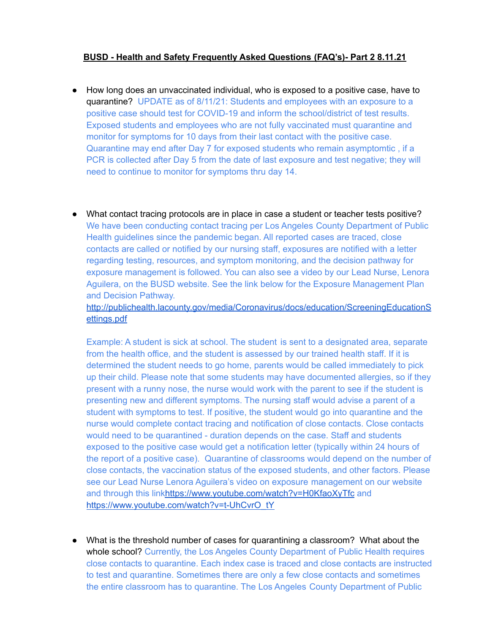## **BUSD - Health and Safety Frequently Asked Questions (FAQ's)- Part 2 8.11.21**

- How long does an unvaccinated individual, who is exposed to a positive case, have to quarantine? UPDATE as of 8/11/21: Students and employees with an exposure to a positive case should test for COVID-19 and inform the school/district of test results. Exposed students and employees who are not fully vaccinated must quarantine and monitor for symptoms for 10 days from their last contact with the positive case. Quarantine may end after Day 7 for exposed students who remain asymptomtic , if a PCR is collected after Day 5 from the date of last exposure and test negative; they will need to continue to monitor for symptoms thru day 14.
- What contact tracing protocols are in place in case a student or teacher tests positive? We have been conducting contact tracing per Los Angeles County Department of Public Health guidelines since the pandemic began. All reported cases are traced, close contacts are called or notified by our nursing staff, exposures are notified with a letter regarding testing, resources, and symptom monitoring, and the decision pathway for exposure management is followed. You can also see a video by our Lead Nurse, Lenora Aguilera, on the BUSD website. See the link below for the Exposure Management Plan and Decision Pathway.

[http://publichealth.lacounty.gov/media/Coronavirus/docs/education/ScreeningEducationS](http://publichealth.lacounty.gov/media/Coronavirus/docs/education/ScreeningEducationSettings.pdf) [ettings.pdf](http://publichealth.lacounty.gov/media/Coronavirus/docs/education/ScreeningEducationSettings.pdf)

Example: A student is sick at school. The student is sent to a designated area, separate from the health office, and the student is assessed by our trained health staff. If it is determined the student needs to go home, parents would be called immediately to pick up their child. Please note that some students may have documented allergies, so if they present with a runny nose, the nurse would work with the parent to see if the student is presenting new and different symptoms. The nursing staff would advise a parent of a student with symptoms to test. If positive, the student would go into quarantine and the nurse would complete contact tracing and notification of close contacts. Close contacts would need to be quarantined - duration depends on the case. Staff and students exposed to the positive case would get a notification letter (typically within 24 hours of the report of a positive case). Quarantine of classrooms would depend on the number of close contacts, the vaccination status of the exposed students, and other factors. Please see our Lead Nurse Lenora Aguilera's video on exposure management on our website and through this lin[khttps://www.youtube.com/watch?v=H0KfaoXyTfc](https://www.youtube.com/watch?v=H0KfaoXyTfc) and [https://www.youtube.com/watch?v=t-UhCvrO\\_tY](https://www.youtube.com/watch?v=t-UhCvrO_tY)

● What is the threshold number of cases for quarantining a classroom? What about the whole school? Currently, the Los Angeles County Department of Public Health requires close contacts to quarantine. Each index case is traced and close contacts are instructed to test and quarantine. Sometimes there are only a few close contacts and sometimes the entire classroom has to quarantine. The Los Angeles County Department of Public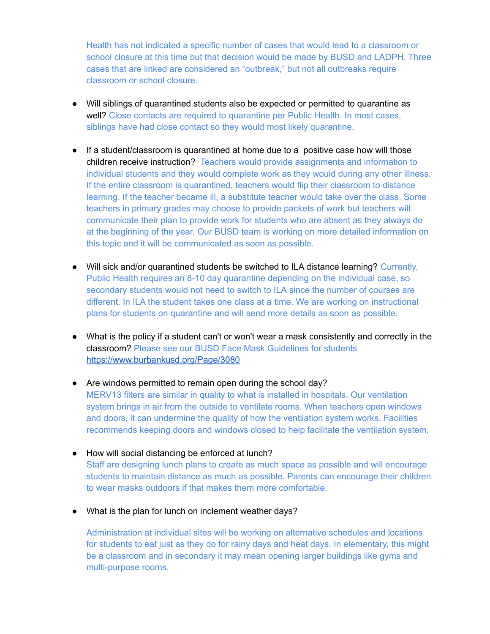Health has not indicated a specific number of cases that would lead to a classroom or school closure at this time but that decision would be made by BUSD and LADPH. Three cases that are linked are considered an "outbreak," but not all outbreaks require classroom or school closure.

- Will siblings of quarantined students also be expected or permitted to quarantine as well? Close contacts are required to quarantine per Public Health. In most cases, siblings have had close contact so they would most likely quarantine.
- If a student/classroom is quarantined at home due to a positive case how will those children receive instruction? Teachers would provide assignments and information to individual students and they would complete work as they would during any other illness. If the entire classroom is quarantined, teachers would flip their classroom to distance learning. If the teacher became ill, a substitute teacher would take over the class. Some teachers in primary grades may choose to provide packets of work but teachers will communicate their plan to provide work for students who are absent as they always do at the beginning of the year. Our BUSD team is working on more detailed information on this topic and it will be communicated as soon as possible.
- Will sick and/or quarantined students be switched to ILA distance learning? Currently, Public Health requires an 8-10 day quarantine depending on the individual case, so secondary students would not need to switch to ILA since the number of courses are different. In ILA the student takes one class at a time. We are working on instructional plans for students on quarantine and will send more details as soon as possible.
- What is the policy if a student can't or won't wear a mask consistently and correctly in the classroom? Please see our BUSD Face Mask Guidelines for students <https://www.burbankusd.org/Page/3080>
- Are windows permitted to remain open during the school day? MERV13 filters are similar in quality to what is installed in hospitals. Our ventilation system brings in air from the outside to ventilate rooms. When teachers open windows and doors, it can undermine the quality of how the ventilation system works. Facilities recommends keeping doors and windows closed to help facilitate the ventilation system.
- How will social distancing be enforced at lunch? Staff are designing lunch plans to create as much space as possible and will encourage students to maintain distance as much as possible. Parents can encourage their children to wear masks outdoors if that makes them more comfortable.
- What is the plan for lunch on inclement weather days?

Administration at individual sites will be working on alternative schedules and locations for students to eat just as they do for rainy days and heat days. In elementary, this might be a classroom and in secondary it may mean opening larger buildings like gyms and multi-purpose rooms.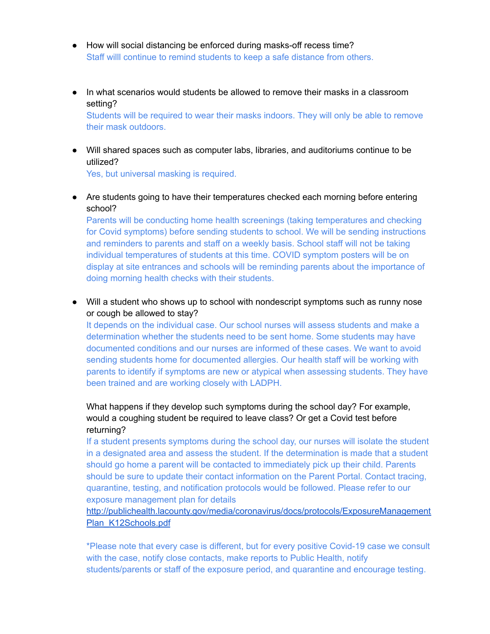- How will social distancing be enforced during masks-off recess time? Staff willl continue to remind students to keep a safe distance from others.
- In what scenarios would students be allowed to remove their masks in a classroom setting? Students will be required to wear their masks indoors. They will only be able to remove

their mask outdoors.

● Will shared spaces such as computer labs, libraries, and auditoriums continue to be utilized?

Yes, but universal masking is required.

• Are students going to have their temperatures checked each morning before entering school?

Parents will be conducting home health screenings (taking temperatures and checking for Covid symptoms) before sending students to school. We will be sending instructions and reminders to parents and staff on a weekly basis. School staff will not be taking individual temperatures of students at this time. COVID symptom posters will be on display at site entrances and schools will be reminding parents about the importance of doing morning health checks with their students.

• Will a student who shows up to school with nondescript symptoms such as runny nose or cough be allowed to stay?

It depends on the individual case. Our school nurses will assess students and make a determination whether the students need to be sent home. Some students may have documented conditions and our nurses are informed of these cases. We want to avoid sending students home for documented allergies. Our health staff will be working with parents to identify if symptoms are new or atypical when assessing students. They have been trained and are working closely with LADPH.

## What happens if they develop such symptoms during the school day? For example, would a coughing student be required to leave class? Or get a Covid test before returning?

If a student presents symptoms during the school day, our nurses will isolate the student in a designated area and assess the student. If the determination is made that a student should go home a parent will be contacted to immediately pick up their child. Parents should be sure to update their contact information on the Parent Portal. Contact tracing, quarantine, testing, and notification protocols would be followed. Please refer to our exposure management plan for details

## [http://publichealth.lacounty.gov/media/coronavirus/docs/protocols/ExposureManagement](http://publichealth.lacounty.gov/media/coronavirus/docs/protocols/ExposureManagementPlan_K12Schools.pdf) [Plan\\_K12Schools.pdf](http://publichealth.lacounty.gov/media/coronavirus/docs/protocols/ExposureManagementPlan_K12Schools.pdf)

\*Please note that every case is different, but for every positive Covid-19 case we consult with the case, notify close contacts, make reports to Public Health, notify students/parents or staff of the exposure period, and quarantine and encourage testing.